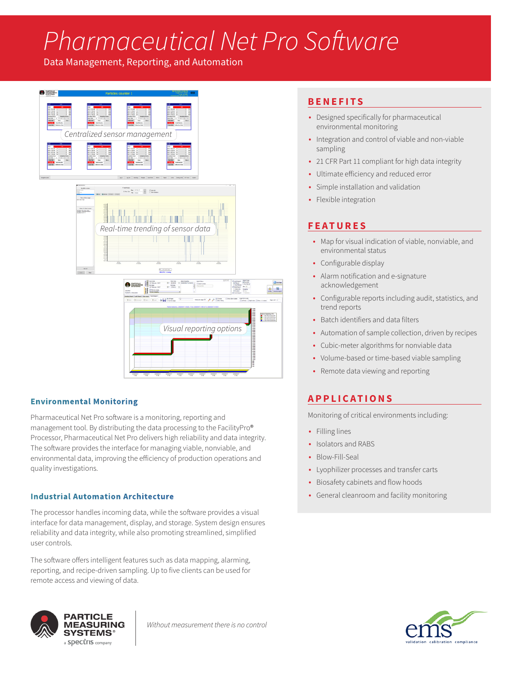# *Pharmaceutical Net Pro Software*

Data Management, Reporting, and Automation



## **Environmental Monitoring**

Pharmaceutical Net Pro software is a monitoring, reporting and management tool. By distributing the data processing to the FacilityPro® Processor, Pharmaceutical Net Pro delivers high reliability and data integrity. The software provides the interface for managing viable, nonviable, and environmental data, improving the efficiency of production operations and quality investigations.

#### **Industrial Automation Architecture**

The processor handles incoming data, while the software provides a visual interface for data management, display, and storage. System design ensures reliability and data integrity, while also promoting streamlined, simplified user controls.

The software offers intelligent features such as data mapping, alarming, reporting, and recipe-driven sampling. Up to five clients can be used for remote access and viewing of data.

### **BENEFITS**

- Designed specifically for pharmaceutical environmental monitoring
- Integration and control of viable and non-viable sampling
- 21 CFR Part 11 compliant for high data integrity
- Ultimate efficiency and reduced error
- Simple installation and validation
- Flexible integration

## **FEATURES**

- Map for visual indication of viable, nonviable, and environmental status
- Configurable display
- Alarm notification and e-signature acknowledgement
- Configurable reports including audit, statistics, and trend reports
- Batch identifiers and data filters
- Automation of sample collection, driven by recipes
- Cubic-meter algorithms for nonviable data
- Volume-based or time-based viable sampling
- Remote data viewing and reporting

## **APPLICATIONS**

Monitoring of critical environments including:

- Filling lines
- Isolators and RABS
- Blow-Fill-Seal
- Lyophilizer processes and transfer carts
- Biosafety cabinets and flow hoods
- General cleanroom and facility monitoring



*Without measurement there is no control*

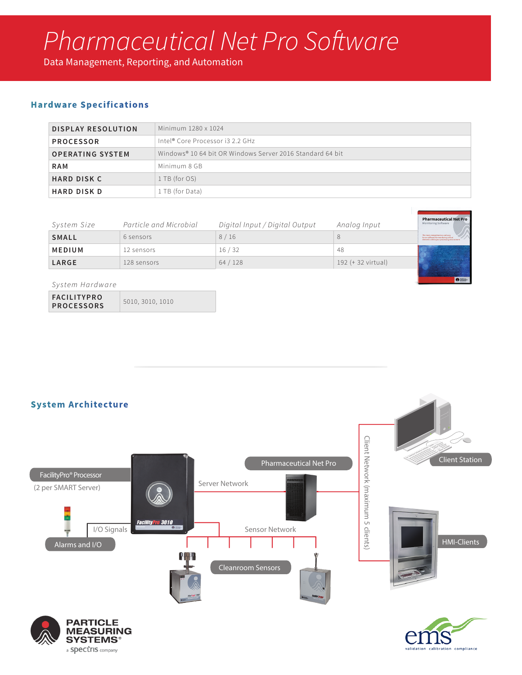# *Pharmaceutical Net Pro Software*

Data Management, Reporting, and Automation

## **Hardware Specifications**

| <b>DISPLAY RESOLUTION</b> | Minimum 1280 x 1024                                       |  |
|---------------------------|-----------------------------------------------------------|--|
| <b>PROCESSOR</b>          | Intel® Core Processor i3 2.2 GHz                          |  |
| <b>OPERATING SYSTEM</b>   | Windows® 10.64 bit OR Windows Server 2016 Standard 64 bit |  |
| <b>RAM</b>                | Minimum 8 GB                                              |  |
| <b>HARD DISK C</b>        | 1 TB (for OS)                                             |  |
| <b>HARD DISK D</b>        | 1 TB (for Data)                                           |  |

| System Size   | Particle and Microbial | Digital Input / Digital Output | Analog Input       | <b>Pharmaceutical Net Pro</b><br><b>Monitoring Software</b>                                                              |
|---------------|------------------------|--------------------------------|--------------------|--------------------------------------------------------------------------------------------------------------------------|
| <b>SMALL</b>  | 6 sensors              | 8/16                           |                    | The most comprehensive and easy<br>to use software for monitoring critical<br>elements within your processing environmen |
| <b>MEDIUM</b> | 12 sensors             | 16/32                          | 48                 |                                                                                                                          |
| <b>LARGE</b>  | 128 sensors            | 64/128                         | 192 (+ 32 virtual) |                                                                                                                          |
|               |                        |                                |                    | <b>O</b> HIGH-                                                                                                           |

#### *System Hardware*

**FACILITYPRO PROCESSORS** 5010, 3010, 1010

> **SYSTEMS®** a **Spectris** company